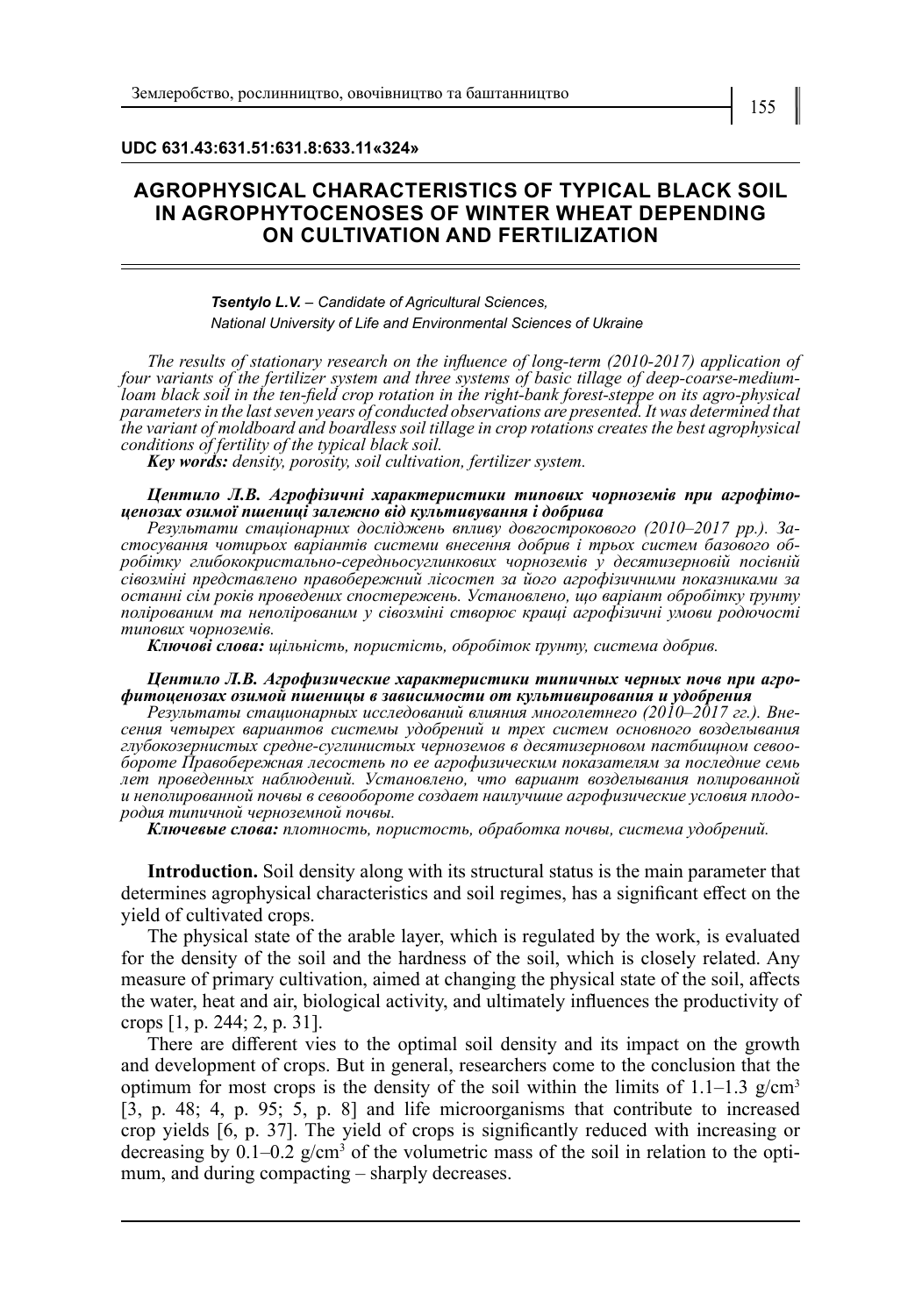**UDC 631.43:631.51:631.8:633.11«324»**

### **AGROPHYSICAL CHARACTERISTICS OF TYPICAL BLACK SOIL IN AGROPHYTOCENOSES OF WINTER WHEAT DEPENDING ON CULTIVATION AND FERTILIZATION**

### *Tsentylo L.V. – Candidate of Agricultural Sciences, National University of Life and Environmental Sciences of Ukraine*

*The results of stationary research on the influence of long-term (2010-2017) application of four variants of the fertilizer system and three systems of basic tillage of deep-coarse-mediumloam black soil in the ten-field crop rotation in the right-bank forest-steppe on its agro-physical parameters in the last seven years of conducted observations are presented. It was determined that the variant of moldboard and boardless soil tillage in crop rotations creates the best agrophysical conditions of fertility of the typical black soil.*

*Key words: density, porosity, soil cultivation, fertilizer system.*

## *Центило Л.В. Агрофізичні характеристики типових чорноземів при агрофітоценозах озимої пшениці залежно від культивування і добрива*

стосування чотирьох варіантів системи внесення добрив і трьох систем базового об-<br>робітку глибококристально-середньосуглинкових чорноземів у десятизерновій посівній *сівозміні представлено правобережний лісостеп за його агрофізичними показниками за останні сім років проведених спостережень. Установлено, що варіант обробітку ґрунту полірованим та неполірованим у сівозміні створює кращі агрофізичні умови родючості типових чорноземів.*

*Ключові слова: щільність, пористість, обробіток ґрунту, система добрив.*

# *Центило Л.В. Агрофизические характеристики типичных черных почв при агро- фитоценозах озимой пшеницы в зависимости от культивирования и удобрения*

*Результаты стационарных исследований влияния многолетнего (2010–2017 гг.). Вне- сения четырех вариантов системы удобрений и трех систем основного возделывания глубокозернистых средне-суглинистых черноземов в десятизерновом пастбищном севоо- бороте Правобережная лесостепь по ее агрофизическим показателям за последние семь лет проведенных наблюдений. Установлено, что вариант возделывания полированной <sup>и</sup> неполированной почвы в севообороте создает наилучшие агрофизические условия плодо- родия типичной черноземной почвы.*

*Ключевые слова: плотность, пористость, обработка почвы, система удобрений.*

**Introduction.** Soil density along with its structural status is the main parameter that determines agrophysical characteristics and soil regimes, has a significant effect on the yield of cultivated crops.

The physical state of the arable layer, which is regulated by the work, is evaluated for the density of the soil and the hardness of the soil, which is closely related. Any measure of primary cultivation, aimed at changing the physical state of the soil, affects the water, heat and air, biological activity, and ultimately influences the productivity of crops [1, p. 244; 2, p. 31].

There are different vies to the optimal soil density and its impact on the growth and development of crops. But in general, researchers come to the conclusion that the optimum for most crops is the density of the soil within the limits of 1.1–1.3 g/cm<sup>3</sup> [3, p. 48; 4, p. 95; 5, p. 8] and life microorganisms that contribute to increased crop yields [6, p. 37]. The yield of crops is significantly reduced with increasing or decreasing by  $0.1-0.2$  g/cm<sup>3</sup> of the volumetric mass of the soil in relation to the optimum, and during compacting – sharply decreases.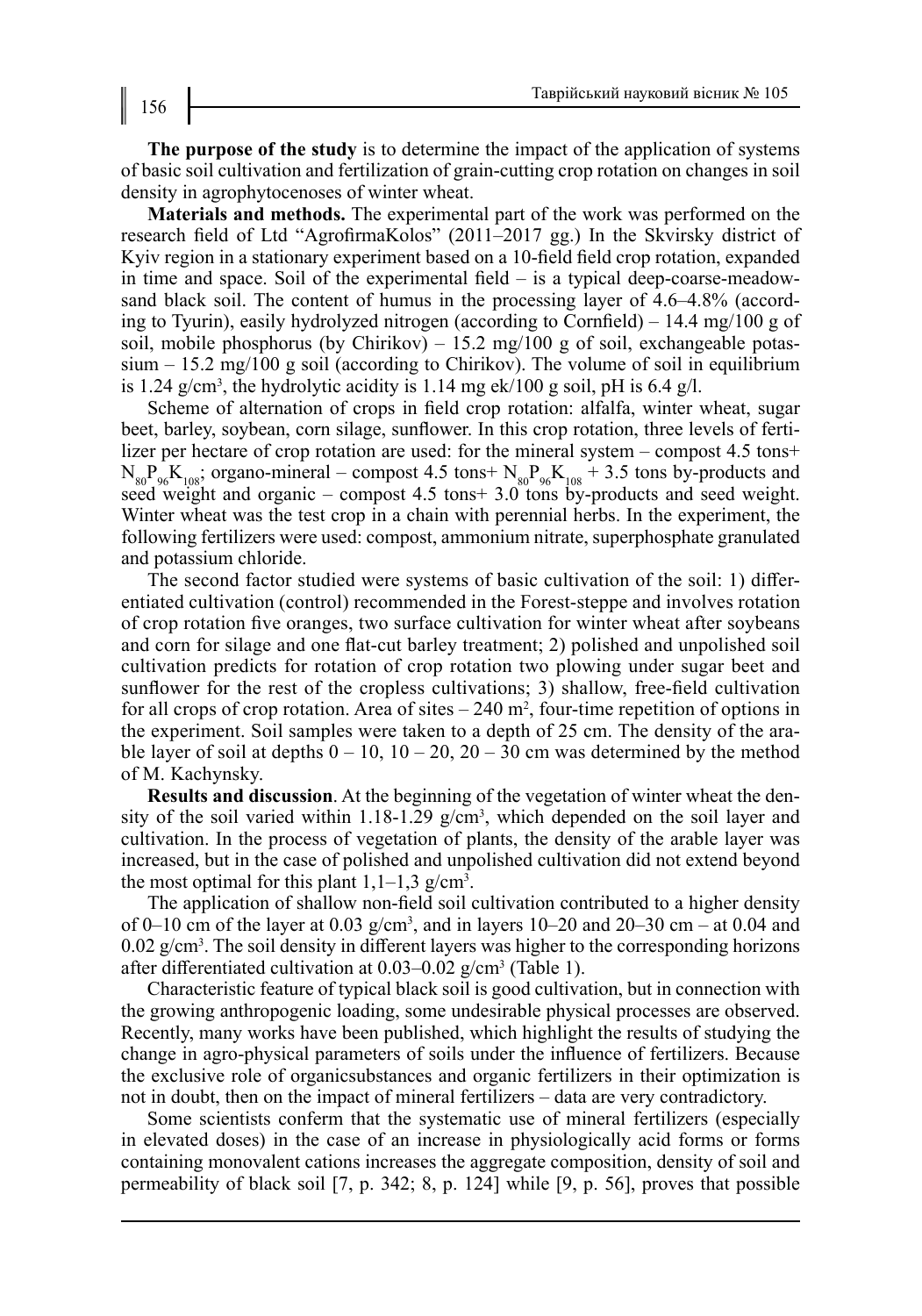**The purpose of the study** is to determine the impact of the application of systems of basic soil cultivation and fertilization of grain-cutting crop rotation on changes in soil density in agrophytocenoses of winter wheat.

**Materials and methods.** The experimental part of the work was performed on the research field of Ltd "AgrofirmaKolos" (2011–2017 gg.) In the Skvirsky district of Kyiv region in a stationary experiment based on a 10-field field crop rotation, expanded in time and space. Soil of the experimental field – is a typical deep-coarse-meadowsand black soil. The content of humus in the processing layer of 4.6–4.8% (according to Tyurin), easily hydrolyzed nitrogen (according to Cornfield) – 14.4 mg/100 g of soil, mobile phosphorus (by Chirikov)  $-15.2 \text{ mg}/100 \text{ g}$  of soil, exchangeable potassium  $-15.2 \text{ mg}/100 \text{ g}$  soil (according to Chirikov). The volume of soil in equilibrium is 1.24 g/cm<sup>3</sup>, the hydrolytic acidity is 1.14 mg ek/100 g soil, pH is 6.4 g/l.

Scheme of alternation of crops in field crop rotation: alfalfa, winter wheat, sugar beet, barley, soybean, corn silage, sunflower. In this crop rotation, three levels of fertilizer per hectare of crop rotation are used: for the mineral system – compost 4.5 tons+  $N_{80}P_{96}K_{108}$ ; organo-mineral – compost 4.5 tons+  $N_{80}P_{96}K_{108}$  + 3.5 tons by-products and seed weight and organic – compost  $4.5$  tons  $\pm$  3.0 tons by-products and seed weight. Winter wheat was the test crop in a chain with perennial herbs. In the experiment, the following fertilizers were used: compost, ammonium nitrate, superphosphate granulated and potassium chloride.

The second factor studied were systems of basic cultivation of the soil: 1) differentiated cultivation (control) recommended in the Forest-steppe and involves rotation of crop rotation five oranges, two surface cultivation for winter wheat after soybeans and corn for silage and one flat-cut barley treatment; 2) polished and unpolished soil cultivation predicts for rotation of crop rotation two plowing under sugar beet and sunflower for the rest of the cropless cultivations; 3) shallow, free-field cultivation for all crops of crop rotation. Area of sites  $-240$  m<sup>2</sup>, four-time repetition of options in the experiment. Soil samples were taken to a depth of 25 cm. The density of the arable layer of soil at depths  $0 - 10$ ,  $10 - 20$ ,  $20 - 30$  cm was determined by the method of M. Kachynsky.

**Results and discussion**. At the beginning of the vegetation of winter wheat the density of the soil varied within  $1.18-1.29$  g/cm<sup>3</sup>, which depended on the soil layer and cultivation. In the process of vegetation of plants, the density of the arable layer was increased, but in the case of polished and unpolished cultivation did not extend beyond the most optimal for this plant  $1,1-1,3$  g/cm<sup>3</sup>.

The application of shallow non-field soil cultivation contributed to a higher density of 0–10 cm of the layer at 0.03  $g/cm^3$ , and in layers 10–20 and 20–30 cm – at 0.04 and  $0.02$  g/cm<sup>3</sup>. The soil density in different layers was higher to the corresponding horizons after differentiated cultivation at 0.03–0.02 g/cm<sup>3</sup> (Table 1).

Characteristic feature of typical black soil is good cultivation, but in connection with the growing anthropogenic loading, some undesirable physical processes are observed. Recently, many works have been published, which highlight the results of studying the change in agro-physical parameters of soils under the influence of fertilizers. Because the exclusive role of organicsubstances and organic fertilizers in their optimization is not in doubt, then on the impact of mineral fertilizers – data are very contradictory.

Some scientists conferm that the systematic use of mineral fertilizers (especially in elevated doses) in the case of an increase in physiologically acid forms or forms containing monovalent cations increases the aggregate composition, density of soil and permeability of black soil [7, p. 342; 8, p. 124] while [9, p. 56], proves that possible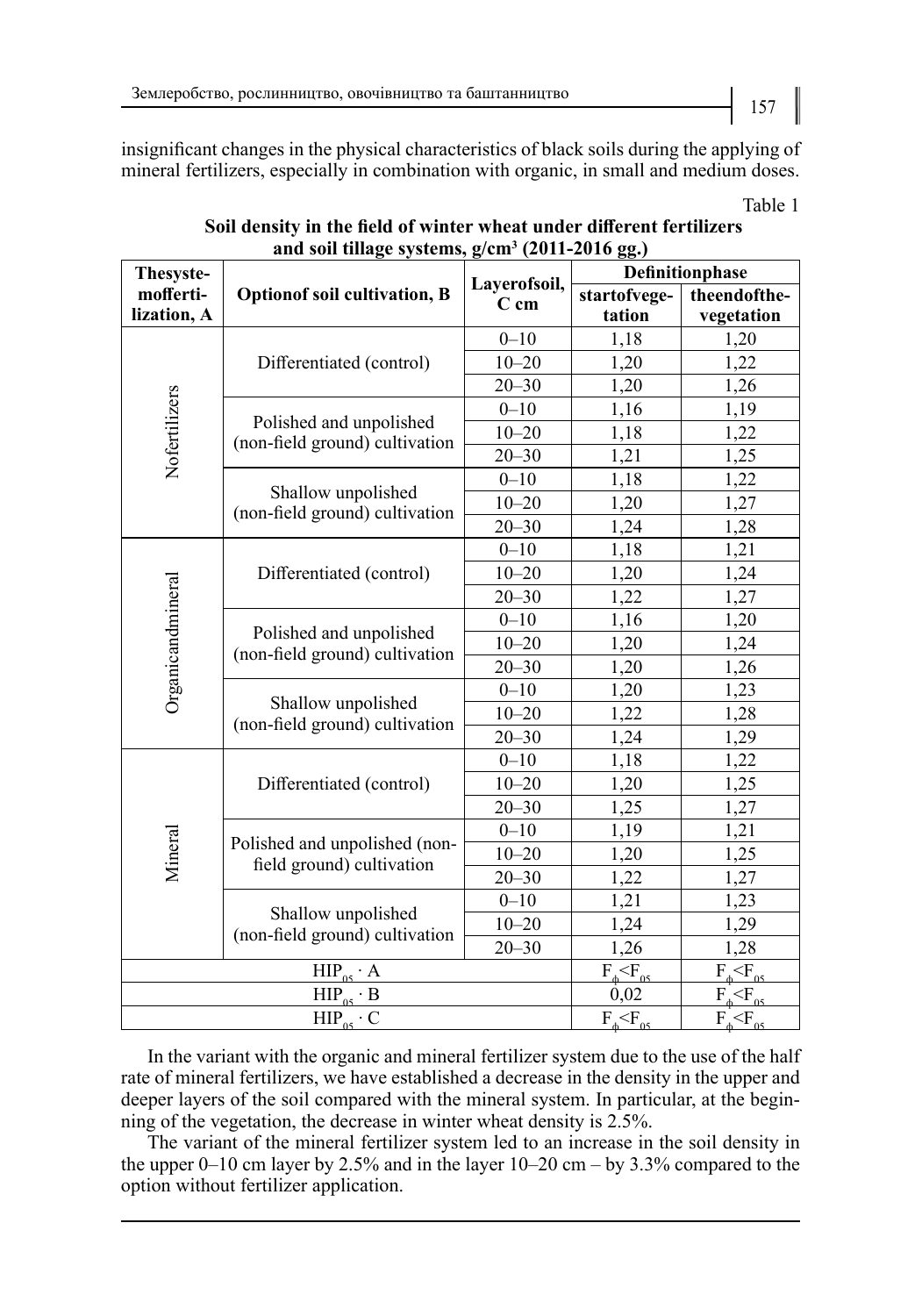insignificant changes in the physical characteristics of black soils during the applying of mineral fertilizers, especially in combination with organic, in small and medium doses.

| Thesyste-          |                                                            | Layerofsoil,<br>$C$ cm | Definitionphase                                                                                                                                                                                       |                            |
|--------------------|------------------------------------------------------------|------------------------|-------------------------------------------------------------------------------------------------------------------------------------------------------------------------------------------------------|----------------------------|
| mofferti-          | <b>Optionof soil cultivation, B</b>                        |                        | startofvege-                                                                                                                                                                                          | theendofthe-               |
| lization, A        |                                                            |                        | tation                                                                                                                                                                                                | vegetation                 |
|                    | Differentiated (control)                                   | $0 - 10$               | 1,18                                                                                                                                                                                                  | 1,20                       |
| Nofertilizers      |                                                            | $10 - 20$              | 1,20                                                                                                                                                                                                  | 1,22                       |
|                    |                                                            | $20 - 30$              | 1,20                                                                                                                                                                                                  | 1,26                       |
|                    | Polished and unpolished<br>(non-field ground) cultivation  | $0 - 10$               | 1,16                                                                                                                                                                                                  | 1,19                       |
|                    |                                                            | $10 - 20$              | 1,18                                                                                                                                                                                                  | 1,22                       |
|                    |                                                            | $20 - 30$              | 1,21                                                                                                                                                                                                  | 1,25                       |
|                    |                                                            | $0 - 10$               | 1,18<br>1,20<br>1,24<br>1,18<br>1,20<br>1,22<br>1,16<br>1,20<br>1,20<br>1,20<br>1,22<br>1,24<br>1,18<br>1,20<br>1,25<br>1,19<br>1,20<br>1,22<br>1,21<br>1,24<br>1,26<br>$F_+$ $\leq$ $F_{05}$<br>0,02 | 1,22                       |
|                    | Shallow unpolished                                         | $10 - 20$              |                                                                                                                                                                                                       | 1,27                       |
|                    | (non-field ground) cultivation                             | $20 - 30$              |                                                                                                                                                                                                       | 1,28                       |
|                    |                                                            | $0 - 10$               |                                                                                                                                                                                                       | 1,21                       |
|                    | Differentiated (control)                                   | $10 - 20$              |                                                                                                                                                                                                       | 1,24                       |
|                    |                                                            | $20 - 30$              |                                                                                                                                                                                                       |                            |
|                    | Polished and unpolished<br>(non-field ground) cultivation  | $0 - 10$               |                                                                                                                                                                                                       | 1,20                       |
| Organicandmineral  |                                                            | $10 - 20$              |                                                                                                                                                                                                       | 1,24                       |
|                    |                                                            | $20 - 30$              |                                                                                                                                                                                                       | 1,26                       |
|                    | Shallow unpolished<br>(non-field ground) cultivation       | $0 - 10$               | 1,27<br>1,23<br>1,28<br>1,29                                                                                                                                                                          |                            |
|                    |                                                            | $10 - 20$              |                                                                                                                                                                                                       |                            |
|                    |                                                            | $20 - 30$              |                                                                                                                                                                                                       |                            |
|                    | Differentiated (control)                                   | $0 - 10$               |                                                                                                                                                                                                       | 1,22                       |
|                    |                                                            | $10 - 20$              |                                                                                                                                                                                                       | 1,25                       |
|                    |                                                            | $20 - 30$              |                                                                                                                                                                                                       | 1,27                       |
|                    | Polished and unpolished (non-<br>field ground) cultivation | $0 - 10$               |                                                                                                                                                                                                       | 1,21                       |
| Mineral            |                                                            | $10 - 20$              |                                                                                                                                                                                                       | 1,25                       |
|                    |                                                            | $20 - 30$              |                                                                                                                                                                                                       | 1,27                       |
|                    | Shallow unpolished<br>(non-field ground) cultivation       | $0 - 10$               |                                                                                                                                                                                                       | 1,23                       |
|                    |                                                            | $10 - 20$              |                                                                                                                                                                                                       | 1,29                       |
|                    |                                                            | $20 - 30$              |                                                                                                                                                                                                       | 1,28                       |
| $HIP_{05} \cdot A$ |                                                            |                        |                                                                                                                                                                                                       | $F_{\phi}$ $F_{05}$        |
| $HIP_{05} \cdot B$ |                                                            |                        |                                                                                                                                                                                                       | $F_{\phi}$ $\leq$ $F_{05}$ |
|                    | $HIP_{\alpha} \cdot C$                                     |                        | $F, \leq F_{\infty}$                                                                                                                                                                                  | $F \leq F_{\alpha}$        |

Table 1 Soil density in the field of winter wheat under different fertilizers and soil tillage systems, g/cm<sup>3</sup> (2011-2016 gg.)

In the variant with the organic and mineral fertilizer system due to the use of the half rate of mineral fertilizers, we have established a decrease in the density in the upper and deeper layers of the soil compared with the mineral system. In particular, at the beginning of the vegetation, the decrease in winter wheat density is 2.5%.

The variant of the mineral fertilizer system led to an increase in the soil density in the upper 0–10 cm layer by 2.5% and in the layer  $10-20$  cm – by 3.3% compared to the option without fertilizer application.

157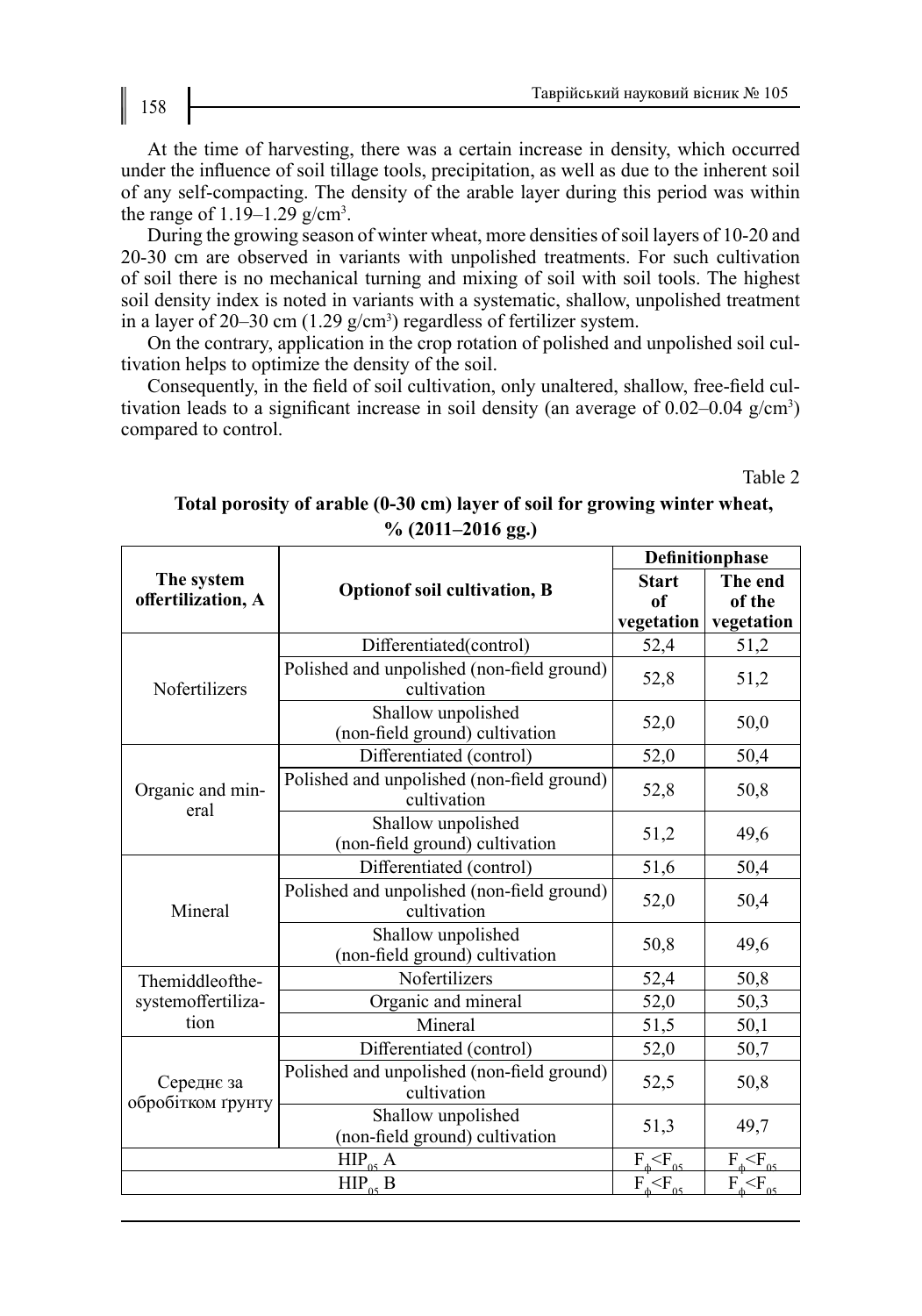At the time of harvesting, there was a certain increase in density, which occurred under the influence of soil tillage tools, precipitation, as well as due to the inherent soil of any self-compacting. The density of the arable layer during this period was within the range of  $1.19-1.29$  g/cm<sup>3</sup>.

During the growing season of winter wheat, more densities of soil layers of 10-20 and 20-30 cm are observed in variants with unpolished treatments. For such cultivation of soil there is no mechanical turning and mixing of soil with soil tools. The highest soil density index is noted in variants with a systematic, shallow, unpolished treatment in a layer of 20–30 cm  $(1.29 \text{ g/cm}^3)$  regardless of fertilizer system.

On the contrary, application in the crop rotation of polished and unpolished soil cultivation helps to optimize the density of the soil.

Consequently, in the field of soil cultivation, only unaltered, shallow, free-field cultivation leads to a significant increase in soil density (an average of  $0.02{\text -}0.04$  g/cm<sup>3</sup>) compared to control.

Table 2

## **Total porosity of arable (0-30 cm) layer of soil for growing winter wheat, % (2011–2016 gg.)**

|                                  |                                                           | Definitionphase                  |                                 |
|----------------------------------|-----------------------------------------------------------|----------------------------------|---------------------------------|
| The system<br>offertilization, A | <b>Optionof soil cultivation, B</b>                       | <b>Start</b><br>of<br>vegetation | The end<br>of the<br>vegetation |
|                                  | Differentiated(control)                                   | 52,4                             | 51,2                            |
| Nofertilizers                    | Polished and unpolished (non-field ground)<br>cultivation | 52,8                             | 51,2                            |
|                                  | Shallow unpolished<br>(non-field ground) cultivation      | 52,0                             | 50,0                            |
|                                  | Differentiated (control)                                  | 52,0                             | 50,4                            |
| Organic and min-<br>eral         | Polished and unpolished (non-field ground)<br>cultivation | 52,8                             | 50,8                            |
|                                  | Shallow unpolished<br>(non-field ground) cultivation      | 51,2                             | 49,6                            |
|                                  | Differentiated (control)                                  | 51,6                             | 50,4                            |
| Mineral                          | Polished and unpolished (non-field ground)<br>cultivation | 52,0                             | 50,4                            |
|                                  | Shallow unpolished<br>(non-field ground) cultivation      | 50,8                             | 49,6                            |
| Themiddleofthe-                  | Nofertilizers                                             | 52,4                             | 50,8                            |
| systemoffertiliza-               | Organic and mineral                                       | 52,0                             | 50,3                            |
| tion                             | Mineral                                                   | 51,5                             | 50,1                            |
|                                  | Differentiated (control)                                  | 52,0                             | 50,7                            |
| Середнє за<br>обробітком ґрунту  | Polished and unpolished (non-field ground)<br>cultivation | 52,5                             | 50,8                            |
|                                  | Shallow unpolished<br>(non-field ground) cultivation      | 51,3                             | 49,7                            |
|                                  | $F_{\text{A}}\leq F_{\text{A}}$                           | $F_{\ast}$ $\leq$ $F_{\alpha}$   |                                 |
|                                  | $F_{\phi}$ $\leq$ $F_{.05}$                               | $F_{\phi}$ $\leq$ $F_{05}$       |                                 |